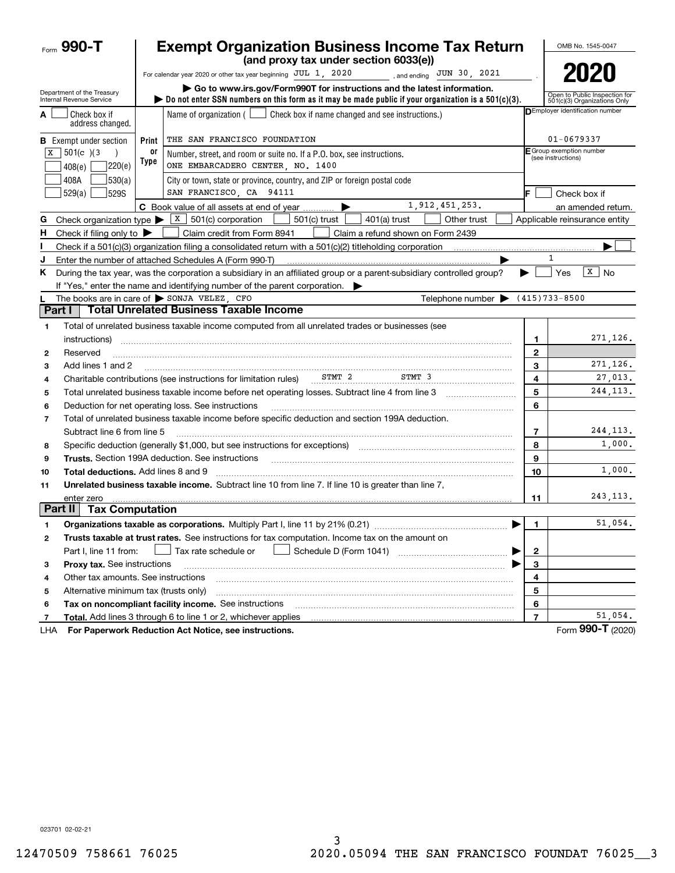|         | Form 990-T                                             |            | <b>Exempt Organization Business Income Tax Return</b><br>(and proxy tax under section 6033(e))                                                                                                      |                         | OMB No. 1545-0047                                             |
|---------|--------------------------------------------------------|------------|-----------------------------------------------------------------------------------------------------------------------------------------------------------------------------------------------------|-------------------------|---------------------------------------------------------------|
|         |                                                        |            | For calendar year 2020 or other tax year beginning $JUL$ 1, 2020<br>, and ending $JUN$ 30, 2021                                                                                                     |                         | 2020                                                          |
|         | Department of the Treasury<br>Internal Revenue Service |            | ► Go to www.irs.gov/Form990T for instructions and the latest information.<br>bo not enter SSN numbers on this form as it may be made public if your organization is a $501(c)(3)$ .                 |                         | Open to Public Inspection for<br>501(c)(3) Organizations Only |
| А       | Check box if<br>address changed.                       |            | Name of organization $($<br>Check box if name changed and see instructions.)                                                                                                                        |                         | <b>DEmployer identification number</b>                        |
|         | <b>B</b> Exempt under section                          | Print      | THE SAN FRANCISCO FOUNDATION                                                                                                                                                                        |                         | 01-0679337                                                    |
| X       | $501(c)$ (3)<br> 220(e) <br>408(e)                     | or<br>Type | Number, street, and room or suite no. If a P.O. box, see instructions.<br>ONE EMBARCADERO CENTER, NO. 1400                                                                                          |                         | E Group exemption number<br>(see instructions)                |
|         | 408A<br>530(a)<br>529(a)<br><b>529S</b>                |            | City or town, state or province, country, and ZIP or foreign postal code<br>SAN FRANCISCO, CA 94111                                                                                                 |                         | Check box if                                                  |
|         |                                                        |            | 1,912,451,253.<br>C Book value of all assets at end of year                                                                                                                                         |                         | an amended return.                                            |
| G       |                                                        |            | Check organization type $\blacktriangleright$ $\lfloor x \rfloor$ 501(c) corporation<br>501(c) trust<br>401(a) trust<br>Other trust                                                                 |                         | Applicable reinsurance entity                                 |
| н.      | Check if filing only to $\blacktriangleright$          |            | Claim credit from Form 8941<br>Claim a refund shown on Form 2439                                                                                                                                    |                         |                                                               |
|         |                                                        |            |                                                                                                                                                                                                     |                         |                                                               |
| J       |                                                        |            | Enter the number of attached Schedules A (Form 990-T)                                                                                                                                               |                         | $\mathbf{1}$                                                  |
| Κ       |                                                        |            | During the tax year, was the corporation a subsidiary in an affiliated group or a parent-subsidiary controlled group?<br>If "Yes," enter the name and identifying number of the parent corporation. | ▶                       | $\vert x \vert$<br>Yes<br><b>No</b>                           |
|         |                                                        |            | The books are in care of $\triangleright$ SONJA VELEZ, CFO<br>Telephone number $\blacktriangleright$                                                                                                |                         | $(415)733 - 8500$                                             |
| Part I  |                                                        |            | <b>Total Unrelated Business Taxable Income</b>                                                                                                                                                      |                         |                                                               |
| 1       |                                                        |            | Total of unrelated business taxable income computed from all unrelated trades or businesses (see                                                                                                    |                         |                                                               |
|         | instructions)                                          |            |                                                                                                                                                                                                     | 1                       | 271,126.                                                      |
| 2       | Reserved                                               |            |                                                                                                                                                                                                     | $\mathbf{2}$            |                                                               |
| 3       | Add lines 1 and 2                                      |            |                                                                                                                                                                                                     | 3                       | 271,126.                                                      |
| 4       |                                                        |            | Charitable contributions (see instructions for limitation rules) ________________<br>STMT 3                                                                                                         | 4                       | 27,013.                                                       |
| 5       |                                                        |            | Total unrelated business taxable income before net operating losses. Subtract line 4 from line 3                                                                                                    | 5                       | 244, 113.                                                     |
| 6       |                                                        |            | Deduction for net operating loss. See instructions                                                                                                                                                  | 6                       |                                                               |
| 7       |                                                        |            | Total of unrelated business taxable income before specific deduction and section 199A deduction.                                                                                                    |                         |                                                               |
|         | Subtract line 6 from line 5                            |            |                                                                                                                                                                                                     | 7                       | 244, 113.                                                     |
| 8       |                                                        |            | Specific deduction (generally \$1,000, but see instructions for exceptions) manufactured contains an exception of                                                                                   | 8                       | 1,000.                                                        |
| 9       |                                                        |            | <b>Trusts.</b> Section 199A deduction. See instructions                                                                                                                                             | 9                       |                                                               |
| 10      | <b>Total deductions.</b> Add lines 8 and 9             |            |                                                                                                                                                                                                     | 10                      | 1,000.                                                        |
| 11      |                                                        |            | Unrelated business taxable income. Subtract line 10 from line 7. If line 10 is greater than line 7,                                                                                                 |                         |                                                               |
| Part II | enter zero<br><b>Tax Computation</b>                   |            |                                                                                                                                                                                                     | 11                      | 243, 113.                                                     |
|         |                                                        |            |                                                                                                                                                                                                     |                         | 51.054.                                                       |
| 2       |                                                        |            | Organizations taxable as corporations. Multiply Part I, line 11 by 21% (0.21)<br>Trusts taxable at trust rates. See instructions for tax computation. Income tax on the amount on                   |                         |                                                               |
|         |                                                        |            | Tax rate schedule or                                                                                                                                                                                |                         |                                                               |
| з       | Part I, line 11 from:<br>Proxy tax. See instructions   |            | ▶                                                                                                                                                                                                   | $\mathbf{2}$<br>3       |                                                               |
| 4       | Other tax amounts. See instructions                    |            |                                                                                                                                                                                                     | 4                       |                                                               |
| 5       | Alternative minimum tax (trusts only)                  |            |                                                                                                                                                                                                     | 5                       |                                                               |
| 6       |                                                        |            | Tax on noncompliant facility income. See instructions                                                                                                                                               | 6                       |                                                               |
| 7       |                                                        |            | Total. Add lines 3 through 6 to line 1 or 2, whichever applies                                                                                                                                      | $\overline{\mathbf{r}}$ | 51,054.                                                       |
| LHA     |                                                        |            | For Paperwork Reduction Act Notice, see instructions.                                                                                                                                               |                         | Form 990-T (2020)                                             |

023701 02-02-21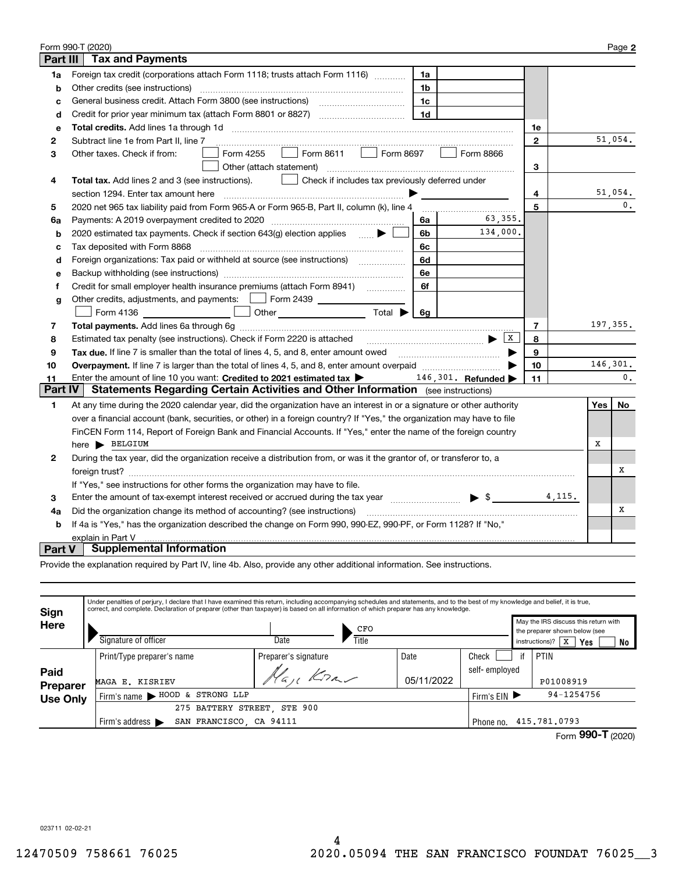| Form 990-T (2020)<br>Page 2                                                                                        |                                                                                                                                                                                                                               |                |          |                |  |  |
|--------------------------------------------------------------------------------------------------------------------|-------------------------------------------------------------------------------------------------------------------------------------------------------------------------------------------------------------------------------|----------------|----------|----------------|--|--|
| <b>Part III</b>                                                                                                    | <b>Tax and Payments</b>                                                                                                                                                                                                       |                |          |                |  |  |
| 1a                                                                                                                 | Foreign tax credit (corporations attach Form 1118; trusts attach Form 1116) [[[[[[[[[[[[[[[[[[[[[[[[<br>1a                                                                                                                    |                |          |                |  |  |
| b                                                                                                                  | Other credits (see instructions)<br>1b                                                                                                                                                                                        |                |          |                |  |  |
| c                                                                                                                  | 1c                                                                                                                                                                                                                            |                |          |                |  |  |
| d                                                                                                                  | 1 <sub>d</sub><br>Credit for prior year minimum tax (attach Form 8801 or 8827)                                                                                                                                                |                |          |                |  |  |
| е                                                                                                                  |                                                                                                                                                                                                                               | 1e             |          |                |  |  |
| 2                                                                                                                  | Subtract line 1e from Part II, line 7                                                                                                                                                                                         | $\mathbf{2}$   |          | 51,054.        |  |  |
| з                                                                                                                  | $\Box$ Form 8611 $\Box$<br>Form 8697<br>Form 4255<br>Form 8866<br>Other taxes. Check if from:                                                                                                                                 |                |          |                |  |  |
|                                                                                                                    | Other (attach statement)                                                                                                                                                                                                      | 3              |          |                |  |  |
| 4                                                                                                                  | Check if includes tax previously deferred under<br>Total tax. Add lines 2 and 3 (see instructions).                                                                                                                           |                |          |                |  |  |
|                                                                                                                    | section 1294. Enter tax amount here                                                                                                                                                                                           | 4              |          | 51,054.        |  |  |
| 5                                                                                                                  | 2020 net 965 tax liability paid from Form 965-A or Form 965-B, Part II, column (k), line 4                                                                                                                                    | 5              |          | $\mathbf{0}$ . |  |  |
| 6a                                                                                                                 | 63.355.<br>6a                                                                                                                                                                                                                 |                |          |                |  |  |
| b                                                                                                                  | 134,000.<br>2020 estimated tax payments. Check if section 643(g) election applies<br>6b                                                                                                                                       |                |          |                |  |  |
| c                                                                                                                  | Tax deposited with Form 8868<br>6с                                                                                                                                                                                            |                |          |                |  |  |
| d                                                                                                                  | Foreign organizations: Tax paid or withheld at source (see instructions) [100000000000000000000000000000000000<br>6d                                                                                                          |                |          |                |  |  |
| e                                                                                                                  | 6e                                                                                                                                                                                                                            |                |          |                |  |  |
| f                                                                                                                  | Credit for small employer health insurance premiums (attach Form 8941)<br>6f                                                                                                                                                  |                |          |                |  |  |
| g                                                                                                                  | Other credits, adjustments, and payments:     Form 2439                                                                                                                                                                       |                |          |                |  |  |
|                                                                                                                    | Other $\overline{\phantom{a}}$ Total $\blacktriangleright$<br>Form 4136<br>6g                                                                                                                                                 |                |          |                |  |  |
| 7                                                                                                                  |                                                                                                                                                                                                                               | $\overline{7}$ | 197,355. |                |  |  |
| 8                                                                                                                  |                                                                                                                                                                                                                               | 8              |          |                |  |  |
| 9                                                                                                                  | Tax due. If line 7 is smaller than the total of lines 4, 5, and 8, enter amount owed <i>musicanal community conduction</i>                                                                                                    | 9              |          |                |  |  |
| 10                                                                                                                 |                                                                                                                                                                                                                               | 10             | 146,301. |                |  |  |
| 11                                                                                                                 | Enter the amount of line 10 you want: Credited to 2021 estimated tax $\blacktriangleright$ 146, 301. Refunded $\blacktriangleright$                                                                                           | 11             |          | 0.             |  |  |
| <b>Part IV</b>                                                                                                     | Statements Regarding Certain Activities and Other Information (see instructions)                                                                                                                                              |                |          |                |  |  |
| 1                                                                                                                  | At any time during the 2020 calendar year, did the organization have an interest in or a signature or other authority                                                                                                         |                | Yes      | No             |  |  |
|                                                                                                                    | over a financial account (bank, securities, or other) in a foreign country? If "Yes," the organization may have to file                                                                                                       |                |          |                |  |  |
|                                                                                                                    | FinCEN Form 114, Report of Foreign Bank and Financial Accounts. If "Yes," enter the name of the foreign country                                                                                                               |                |          |                |  |  |
|                                                                                                                    | here BELGIUM                                                                                                                                                                                                                  |                | х        |                |  |  |
| 2                                                                                                                  | During the tax year, did the organization receive a distribution from, or was it the grantor of, or transferor to, a                                                                                                          |                |          |                |  |  |
|                                                                                                                    |                                                                                                                                                                                                                               |                |          | х              |  |  |
|                                                                                                                    | If "Yes," see instructions for other forms the organization may have to file.                                                                                                                                                 |                |          |                |  |  |
| 3                                                                                                                  | Enter the amount of tax-exempt interest received or accrued during the tax year match states and the summary states and states are the states of the states and states are states and states are states and states are states | 4,115.         |          |                |  |  |
| 4a                                                                                                                 | Did the organization change its method of accounting? (see instructions)                                                                                                                                                      |                |          | х              |  |  |
| If 4a is "Yes," has the organization described the change on Form 990, 990-EZ, 990-PF, or Form 1128? If "No,"<br>b |                                                                                                                                                                                                                               |                |          |                |  |  |
|                                                                                                                    | explain in Part V                                                                                                                                                                                                             |                |          |                |  |  |
| Part V                                                                                                             | <b>Supplemental Information</b>                                                                                                                                                                                               |                |          |                |  |  |

Provide the explanation required by Part IV, line 4b. Also, provide any other additional information. See instructions.

| <b>Sign</b>      | Under penalties of perjury, I declare that I have examined this return, including accompanying schedules and statements, and to the best of my knowledge and belief, it is true,<br>correct, and complete. Declaration of preparer (other than taxpayer) is based on all information of which preparer has any knowledge. |                             |            |               |                                                                                              |            |    |  |  |  |
|------------------|---------------------------------------------------------------------------------------------------------------------------------------------------------------------------------------------------------------------------------------------------------------------------------------------------------------------------|-----------------------------|------------|---------------|----------------------------------------------------------------------------------------------|------------|----|--|--|--|
| Here             | Signature of officer                                                                                                                                                                                                                                                                                                      | CFO<br>Title<br>Date        |            |               | May the IRS discuss this return with<br>the preparer shown below (see<br>x<br>instructions)? | <b>Yes</b> | No |  |  |  |
|                  | Print/Type preparer's name                                                                                                                                                                                                                                                                                                | Preparer's signature        | Date       | Check         | PTIN                                                                                         |            |    |  |  |  |
| Paid<br>Preparer | MAGA E. KISRIEV                                                                                                                                                                                                                                                                                                           | Kn                          | 05/11/2022 | self-employed | P01008919                                                                                    |            |    |  |  |  |
| <b>Use Only</b>  | Firm's name > HOOD & STRONG LLP                                                                                                                                                                                                                                                                                           |                             |            | Firm's $EIN$  |                                                                                              | 94-1254756 |    |  |  |  |
|                  |                                                                                                                                                                                                                                                                                                                           | 275 BATTERY STREET, STE 900 |            |               |                                                                                              |            |    |  |  |  |
|                  | SAN FRANCISCO, CA 94111<br>Firm's address $\blacktriangleright$                                                                                                                                                                                                                                                           |                             |            | Phone no.     | 415.781.0793                                                                                 | =          |    |  |  |  |

| Form 990-T (2020) |  |
|-------------------|--|
|                   |  |

023711 02-02-21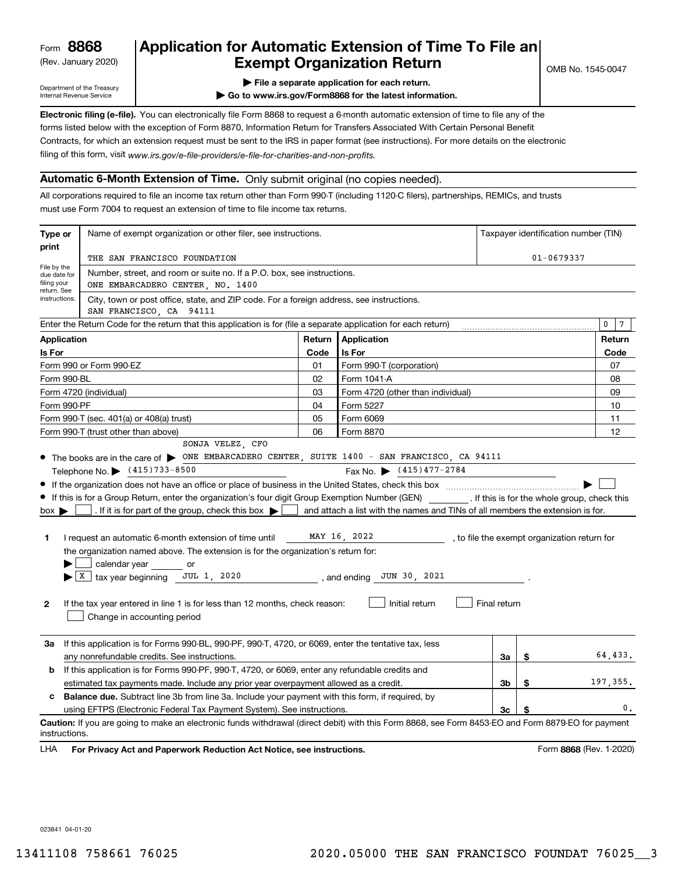(Rev. January 2020)

## **Application for Automatic Extension of Time To File an Exempt Organization Return**

Department of the Treasury Internal Revenue Service

**| File a separate application for each return.**

**| Go to www.irs.gov/Form8868 for the latest information.**

**Electronic filing (e-file).**  You can electronically file Form 8868 to request a 6-month automatic extension of time to file any of the filing of this form, visit www.irs.gov/e-file-providers/e-file-for-charities-and-non-profits. forms listed below with the exception of Form 8870, Information Return for Transfers Associated With Certain Personal Benefit Contracts, for which an extension request must be sent to the IRS in paper format (see instructions). For more details on the electronic

### **Automatic 6-Month Extension of Time.** Only submit original (no copies needed).

All corporations required to file an income tax return other than Form 990-T (including 1120-C filers), partnerships, REMICs, and trusts must use Form 7004 to request an extension of time to file income tax returns.

| Type or                                                                                                                              | Name of exempt organization or other filer, see instructions.                                                                                                                                                                                                                                                   |      |                                                                                |                | Taxpayer identification number (TIN) |                                              |  |
|--------------------------------------------------------------------------------------------------------------------------------------|-----------------------------------------------------------------------------------------------------------------------------------------------------------------------------------------------------------------------------------------------------------------------------------------------------------------|------|--------------------------------------------------------------------------------|----------------|--------------------------------------|----------------------------------------------|--|
| print                                                                                                                                |                                                                                                                                                                                                                                                                                                                 |      |                                                                                | $01 - 0679337$ |                                      |                                              |  |
| File by the                                                                                                                          | THE SAN FRANCISCO FOUNDATION                                                                                                                                                                                                                                                                                    |      |                                                                                |                |                                      |                                              |  |
| due date for<br>filing your<br>return. See                                                                                           | Number, street, and room or suite no. If a P.O. box, see instructions.<br>ONE EMBARCADERO CENTER, NO. 1400                                                                                                                                                                                                      |      |                                                                                |                |                                      |                                              |  |
| instructions.<br>City, town or post office, state, and ZIP code. For a foreign address, see instructions.<br>SAN FRANCISCO, CA 94111 |                                                                                                                                                                                                                                                                                                                 |      |                                                                                |                |                                      |                                              |  |
|                                                                                                                                      | Enter the Return Code for the return that this application is for (file a separate application for each return)                                                                                                                                                                                                 |      |                                                                                |                |                                      | 0<br>$7\phantom{.0}$                         |  |
| Return<br><b>Application</b><br><b>Application</b>                                                                                   |                                                                                                                                                                                                                                                                                                                 |      |                                                                                | Return         |                                      |                                              |  |
| Is For                                                                                                                               |                                                                                                                                                                                                                                                                                                                 | Code | <b>Is For</b>                                                                  |                |                                      | Code                                         |  |
|                                                                                                                                      | Form 990 or Form 990-EZ                                                                                                                                                                                                                                                                                         | 01   | Form 990-T (corporation)                                                       |                |                                      | 07                                           |  |
| Form 990-BL                                                                                                                          |                                                                                                                                                                                                                                                                                                                 | 02   | Form 1041-A                                                                    |                |                                      | 08                                           |  |
|                                                                                                                                      | Form 4720 (individual)                                                                                                                                                                                                                                                                                          | 03   | Form 4720 (other than individual)                                              |                |                                      | 09                                           |  |
| Form 990-PF                                                                                                                          |                                                                                                                                                                                                                                                                                                                 | 04   | Form 5227                                                                      |                |                                      | 10                                           |  |
|                                                                                                                                      | Form 990-T (sec. 401(a) or 408(a) trust)                                                                                                                                                                                                                                                                        | 05   | Form 6069                                                                      |                |                                      | 11                                           |  |
|                                                                                                                                      | Form 990-T (trust other than above)                                                                                                                                                                                                                                                                             | 06   | Form 8870                                                                      |                |                                      | 12                                           |  |
|                                                                                                                                      | SONJA VELEZ, CFO<br>• The books are in the care of $\triangleright$ ONE EMBARCADERO CENTER, SUITE 1400 - SAN FRANCISCO, CA 94111<br>Telephone No. \ (415)733-8500<br>If this is for a Group Return, enter the organization's four digit Group Exemption Number (GEN) [f this is for the whole group, check this |      | Fax No. $\bullet$ (415) 477-2784                                               |                |                                      |                                              |  |
| $box \blacktriangleright$                                                                                                            | . If it is for part of the group, check this box $\blacktriangleright$                                                                                                                                                                                                                                          |      | and attach a list with the names and TINs of all members the extension is for. |                |                                      |                                              |  |
| 1                                                                                                                                    | I request an automatic 6-month extension of time until<br>the organization named above. The extension is for the organization's return for:<br>calendar year<br><b>Solution</b> or<br>$X$ tax year beginning JUL 1, 2020                                                                                        |      | MAY 16, 2022<br>, and ending JUN 30, 2021                                      |                |                                      | , to file the exempt organization return for |  |
| 2                                                                                                                                    | If the tax year entered in line 1 is for less than 12 months, check reason:<br>Change in accounting period                                                                                                                                                                                                      |      | Initial return                                                                 | Final return   |                                      |                                              |  |
| За                                                                                                                                   | If this application is for Forms 990-BL, 990-PF, 990-T, 4720, or 6069, enter the tentative tax, less<br>any nonrefundable credits. See instructions.                                                                                                                                                            |      |                                                                                | За             | \$                                   | 64,433.                                      |  |
| b                                                                                                                                    | If this application is for Forms 990-PF, 990-T, 4720, or 6069, enter any refundable credits and                                                                                                                                                                                                                 |      |                                                                                |                |                                      |                                              |  |
|                                                                                                                                      | estimated tax payments made. Include any prior year overpayment allowed as a credit.                                                                                                                                                                                                                            |      |                                                                                | Зb             | \$                                   | 197,355.                                     |  |
| c                                                                                                                                    | <b>Balance due.</b> Subtract line 3b from line 3a. Include your payment with this form, if required, by                                                                                                                                                                                                         |      |                                                                                |                |                                      |                                              |  |
|                                                                                                                                      | using EFTPS (Electronic Federal Tax Payment System). See instructions.                                                                                                                                                                                                                                          |      |                                                                                | 3c             | \$                                   | 0.                                           |  |
|                                                                                                                                      | Caution: If you are going to make an electronic funds withdrawal (direct debit) with this Form 8868, see Form 8453-EO and Form 8879-EO for payment<br>instructions.                                                                                                                                             |      |                                                                                |                |                                      |                                              |  |

**HA** For Privacy Act and Paperwork Reduction Act Notice, see instructions. **But a struction of the Constantion Constant** Form 8868 (Rev. 1-2020) LHA

023841 04-01-20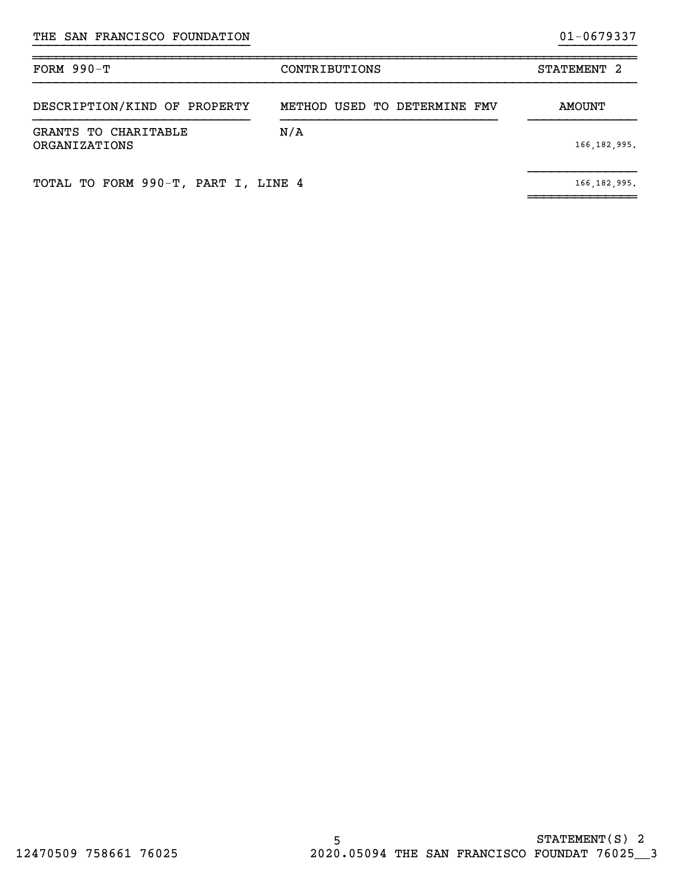| FORM $990-T$                          | CONTRIBUTIONS                | STATEMENT <sub>2</sub> |
|---------------------------------------|------------------------------|------------------------|
| DESCRIPTION/KIND OF PROPERTY          | METHOD USED TO DETERMINE FMV | AMOUNT                 |
| GRANTS TO CHARITABLE<br>ORGANIZATIONS | N/A                          | 166, 182, 995.         |
| TOTAL TO FORM 990-T, PART I, LINE 4   |                              | 166, 182, 995.         |

~~~~~~~~~~~~~~

}}}}}}}}}}}}}}}}}}}}}}}}}}}} }}}}}}}}}}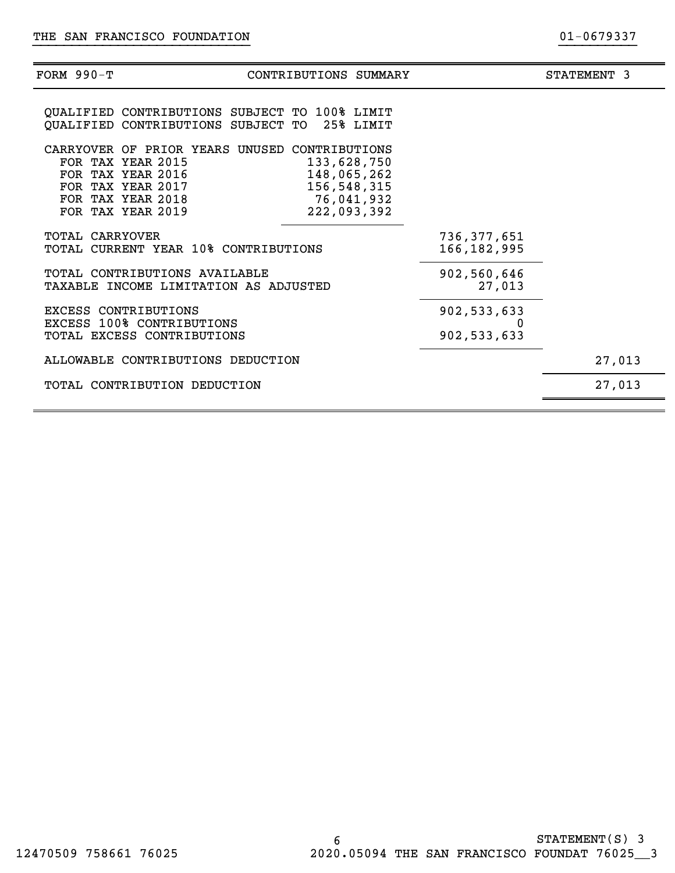| FORM $990-T$                                                                                          | CONTRIBUTIONS SUMMARY                                                                                                   |                              | STATEMENT 3 |
|-------------------------------------------------------------------------------------------------------|-------------------------------------------------------------------------------------------------------------------------|------------------------------|-------------|
| OUALIFIED CONTRIBUTIONS SUBJECT TO                                                                    | QUALIFIED CONTRIBUTIONS SUBJECT TO 100% LIMIT<br>25% LIMIT                                                              |                              |             |
| FOR TAX YEAR 2015<br>FOR TAX YEAR 2016<br>FOR TAX YEAR 2017<br>FOR TAX YEAR 2018<br>FOR TAX YEAR 2019 | CARRYOVER OF PRIOR YEARS UNUSED CONTRIBUTIONS<br>133,628,750<br>148,065,262<br>156,548,315<br>76,041,932<br>222,093,392 |                              |             |
| <b>TOTAL CARRYOVER</b>                                                                                | TOTAL CURRENT YEAR 10% CONTRIBUTIONS                                                                                    | 736,377,651<br>166, 182, 995 |             |
| TOTAL CONTRIBUTIONS AVAILABLE                                                                         | TAXABLE INCOME LIMITATION AS ADJUSTED                                                                                   | 902,560,646<br>27,013        |             |
| EXCESS CONTRIBUTIONS<br><b>EXCESS 100% CONTRIBUTIONS</b><br>TOTAL EXCESS CONTRIBUTIONS                |                                                                                                                         | 902,533,633<br>902,533,633   |             |
| ALLOWABLE CONTRIBUTIONS DEDUCTION                                                                     |                                                                                                                         |                              | 27,013      |
| TOTAL CONTRIBUTION DEDUCTION                                                                          |                                                                                                                         |                              | 27,013      |
|                                                                                                       |                                                                                                                         |                              |             |

}}}}}}}}}}}}}}}}}}}}}}}}}}}} }}}}}}}}}}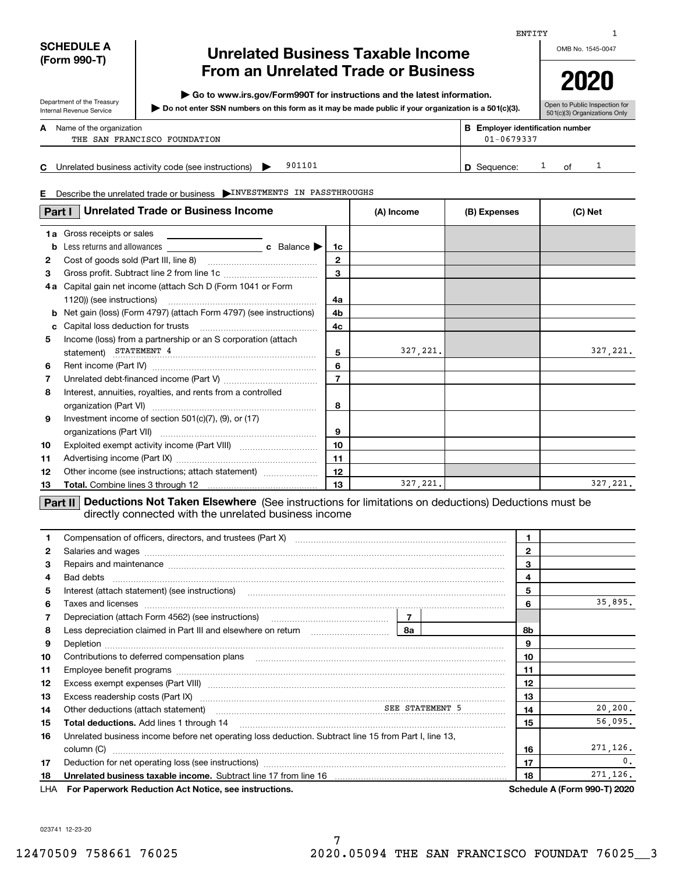| <b>SCHEDULE A</b> |  |  |
|-------------------|--|--|
| (Form 990-T)      |  |  |

Department of the Treasury Internal Revenue Service

# **Unrelated Business Taxable Income From an Unrelated Trade or Business**

**| Go to www.irs.gov/Form990T for instructions and the latest information.**

**Do not enter SSN numbers on this form as it may be made public if your organization is a 501(c)(3). |** 

**2020**

OMB No. 1545-0047

| )(3). | Open to Public Inspection for |
|-------|-------------------------------|
|       | 501(c)(3) Organizations Only  |

| А | Name of the organization     | <b>Employer identification number</b> |
|---|------------------------------|---------------------------------------|
|   | THE SAN FRANCISCO FOUNDATION | $01 - 0679337$                        |

**C** Unrelated business activity code (see instructions)  $\rightarrow$  901101 **D** Sequence: <sup>1</sup> of 901101

01 **D** Sequence: 1 of 1

| Describe the unrelated trade or business NINVESTMENTS IN PASSTHROUGHS<br>E. |                                                                   |                |            |              |          |  |
|-----------------------------------------------------------------------------|-------------------------------------------------------------------|----------------|------------|--------------|----------|--|
|                                                                             | <b>Unrelated Trade or Business Income</b><br>Part I               |                | (A) Income | (B) Expenses | (C) Net  |  |
| 1a                                                                          | Gross receipts or sales<br><u> 1980 - Jan Salaman, masjid a</u>   |                |            |              |          |  |
| b                                                                           |                                                                   | 1c             |            |              |          |  |
| $\mathbf{2}$                                                                |                                                                   | $\overline{2}$ |            |              |          |  |
| 3                                                                           |                                                                   | 3              |            |              |          |  |
| 4 a                                                                         | Capital gain net income (attach Sch D (Form 1041 or Form          |                |            |              |          |  |
|                                                                             |                                                                   | 4a             |            |              |          |  |
| b                                                                           | Net gain (loss) (Form 4797) (attach Form 4797) (see instructions) | 4b             |            |              |          |  |
| c                                                                           |                                                                   | 4c             |            |              |          |  |
| 5                                                                           | Income (loss) from a partnership or an S corporation (attach      |                |            |              |          |  |
|                                                                             | statement) STATEMENT 4                                            | 5              | 327, 221.  |              | 327,221. |  |
| 6                                                                           |                                                                   | 6              |            |              |          |  |
| 7                                                                           |                                                                   | $\overline{7}$ |            |              |          |  |
| 8                                                                           | Interest, annuities, royalties, and rents from a controlled       | 8              |            |              |          |  |
| 9                                                                           | Investment income of section $501(c)(7)$ , $(9)$ , or $(17)$      | 9              |            |              |          |  |
| 10                                                                          |                                                                   | 10             |            |              |          |  |
| 11                                                                          |                                                                   | 11             |            |              |          |  |
| 12                                                                          | Other income (see instructions; attach statement)                 | 12             |            |              |          |  |
| 13                                                                          |                                                                   | 13             | 327, 221.  |              | 327,221. |  |
|                                                                             |                                                                   |                |            |              |          |  |

**Part II Deductions Not Taken Elsewhere** (See instructions for limitations on deductions) Deductions must be directly connected with the unrelated business income

| 1.           | Compensation of officers, directors, and trustees (Part X) [11] [2010] [2010] [2010] [2010] [2010] [2010] [2010] [2010] [2010] [2010] [2010] [2010] [2010] [2010] [2010] [2010] [2010] [2010] [2010] [2010] [2010] [2010] [201 |  |  |              |                                     |
|--------------|--------------------------------------------------------------------------------------------------------------------------------------------------------------------------------------------------------------------------------|--|--|--------------|-------------------------------------|
| $\mathbf{2}$ |                                                                                                                                                                                                                                |  |  | $\mathbf{2}$ |                                     |
| 3            |                                                                                                                                                                                                                                |  |  | 3            |                                     |
| 4            |                                                                                                                                                                                                                                |  |  | 4            |                                     |
| 5            | Interest (attach statement) (see instructions) www.communically.communically.communically.communically.communically                                                                                                            |  |  | 5            |                                     |
| 6            |                                                                                                                                                                                                                                |  |  | 6            | 35,895.                             |
| 7            |                                                                                                                                                                                                                                |  |  |              |                                     |
| 8            |                                                                                                                                                                                                                                |  |  | 8b           |                                     |
| 9            |                                                                                                                                                                                                                                |  |  | 9            |                                     |
| 10           |                                                                                                                                                                                                                                |  |  | 10           |                                     |
| 11           |                                                                                                                                                                                                                                |  |  | 11           |                                     |
| 12           |                                                                                                                                                                                                                                |  |  | 12           |                                     |
| 13           |                                                                                                                                                                                                                                |  |  | 13           |                                     |
| 14           | Other deductions (attach statement)<br>material continuum and the SEE STATEMENT 5                                                                                                                                              |  |  | 14           | 20, 200.                            |
| 15           | <b>Total deductions.</b> Add lines 1 through 14                                                                                                                                                                                |  |  | 15           | 56,095.                             |
| 16           | Unrelated business income before net operating loss deduction. Subtract line 15 from Part I, line 13,                                                                                                                          |  |  |              |                                     |
|              | column (C)                                                                                                                                                                                                                     |  |  | 16           | 271,126.                            |
| 17           |                                                                                                                                                                                                                                |  |  | 17           | 0.                                  |
| 18           | Unrelated business taxable income. Subtract line 17 from line 16 [11] manusure manusure manusure manusure                                                                                                                      |  |  | 18           | 271,126.                            |
| LHA          | For Paperwork Reduction Act Notice, see instructions.                                                                                                                                                                          |  |  |              | <b>Schedule A (Form 990-T) 2020</b> |

023741 12-23-20

1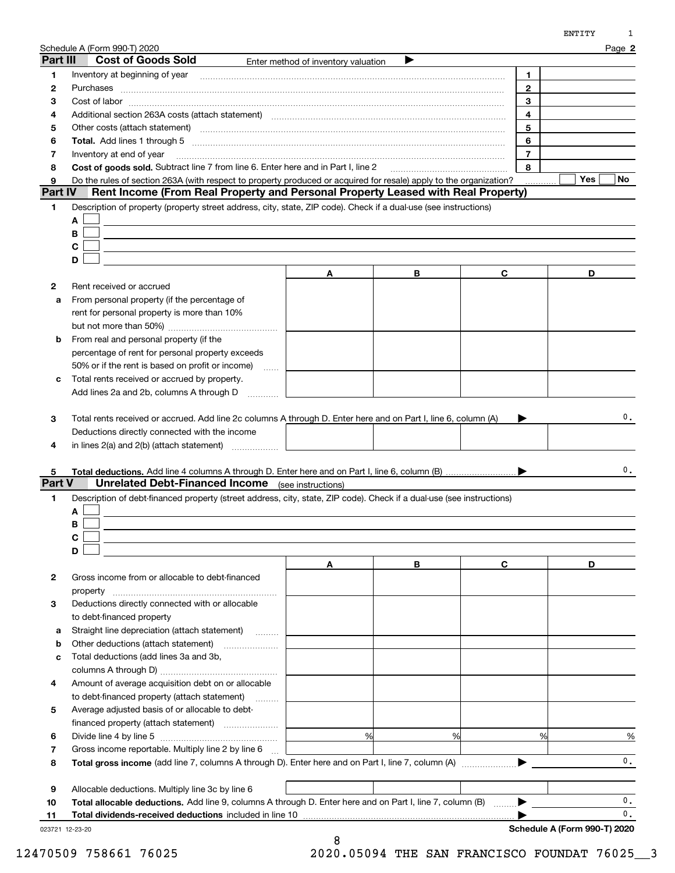| Part III     | Sche <u>dule A (Form 990-T) 2020</u><br><b>Cost of Goods Sold</b>                                                                                                                                                              |                                     |   |                     | Page 2                       |
|--------------|--------------------------------------------------------------------------------------------------------------------------------------------------------------------------------------------------------------------------------|-------------------------------------|---|---------------------|------------------------------|
|              |                                                                                                                                                                                                                                | Enter method of inventory valuation |   |                     |                              |
| 1            | Inventory at beginning of year manufactured and an intervention of the state of the state of the state of the                                                                                                                  |                                     |   | 1.                  |                              |
| 2            |                                                                                                                                                                                                                                |                                     |   | $\mathbf{2}$        |                              |
| 3            |                                                                                                                                                                                                                                |                                     |   | 3                   |                              |
| 4            | Additional section 263A costs (attach statement) material content and according to the Additional section 263A                                                                                                                 |                                     |   | $\overline{4}$      |                              |
| 5            | Other costs (attach statement) material contracts and a statement of the statement of the statement of the statement of the statement of the statement of the statement of the statement of the statement of the statement of  |                                     |   | 5                   |                              |
| 6            | Total. Add lines 1 through 5 [11] manufactured and manufactured and manufactured and manufactured and manufactured and manufactured and manufactured and manufactured and manufactured and manufactured and manufactured and m |                                     |   | 6                   |                              |
| 7            | Inventory at end of year<br>Cost of goods sold. Subtract line 7 from line 6. Enter here and in Part I. line 2                                                                                                                  |                                     |   | $\overline{7}$<br>8 |                              |
| 8            |                                                                                                                                                                                                                                |                                     |   |                     | Yes<br>No.                   |
| 9<br>Part IV | Do the rules of section 263A (with respect to property produced or acquired for resale) apply to the organization?<br>Rent Income (From Real Property and Personal Property Leased with Real Property)                         |                                     |   |                     |                              |
| 1            | Description of property (property street address, city, state, ZIP code). Check if a dual-use (see instructions)                                                                                                               |                                     |   |                     |                              |
|              | A                                                                                                                                                                                                                              |                                     |   |                     |                              |
|              | B                                                                                                                                                                                                                              |                                     |   |                     |                              |
|              | C                                                                                                                                                                                                                              |                                     |   |                     |                              |
|              | D                                                                                                                                                                                                                              |                                     |   |                     |                              |
|              |                                                                                                                                                                                                                                | A                                   | В | C                   | D                            |
| 2            | Rent received or accrued                                                                                                                                                                                                       |                                     |   |                     |                              |
| a            | From personal property (if the percentage of                                                                                                                                                                                   |                                     |   |                     |                              |
|              | rent for personal property is more than 10%                                                                                                                                                                                    |                                     |   |                     |                              |
|              |                                                                                                                                                                                                                                |                                     |   |                     |                              |
| b            | From real and personal property (if the                                                                                                                                                                                        |                                     |   |                     |                              |
|              | percentage of rent for personal property exceeds                                                                                                                                                                               |                                     |   |                     |                              |
|              | 50% or if the rent is based on profit or income)                                                                                                                                                                               |                                     |   |                     |                              |
| c            | المتنب<br>Total rents received or accrued by property.                                                                                                                                                                         |                                     |   |                     |                              |
|              | Add lines 2a and 2b, columns A through D                                                                                                                                                                                       |                                     |   |                     |                              |
|              |                                                                                                                                                                                                                                |                                     |   |                     |                              |
| 3            | Total rents received or accrued. Add line 2c columns A through D. Enter here and on Part I, line 6, column (A)                                                                                                                 |                                     |   |                     | $\mathbf{0}$ .               |
|              | Deductions directly connected with the income                                                                                                                                                                                  |                                     |   |                     |                              |
|              |                                                                                                                                                                                                                                |                                     |   |                     |                              |
| 4            | in lines $2(a)$ and $2(b)$ (attach statement) $\ldots$                                                                                                                                                                         |                                     |   |                     |                              |
|              |                                                                                                                                                                                                                                |                                     |   |                     | 0.                           |
| 5.<br>Part V | <b>Unrelated Debt-Financed Income</b> (see instructions)                                                                                                                                                                       |                                     |   |                     |                              |
| 1            | Description of debt-financed property (street address, city, state, ZIP code). Check if a dual-use (see instructions)                                                                                                          |                                     |   |                     |                              |
|              | A                                                                                                                                                                                                                              |                                     |   |                     |                              |
|              | в                                                                                                                                                                                                                              |                                     |   |                     |                              |
|              |                                                                                                                                                                                                                                |                                     |   |                     |                              |
|              | D                                                                                                                                                                                                                              |                                     |   |                     |                              |
|              |                                                                                                                                                                                                                                | Α                                   | В | C                   | D                            |
| 2            | Gross income from or allocable to debt-financed                                                                                                                                                                                |                                     |   |                     |                              |
|              |                                                                                                                                                                                                                                |                                     |   |                     |                              |
|              | property<br>Deductions directly connected with or allocable                                                                                                                                                                    |                                     |   |                     |                              |
| 3            |                                                                                                                                                                                                                                |                                     |   |                     |                              |
|              | to debt-financed property                                                                                                                                                                                                      |                                     |   |                     |                              |
| а            | Straight line depreciation (attach statement)                                                                                                                                                                                  |                                     |   |                     |                              |
| b            | Other deductions (attach statement)                                                                                                                                                                                            |                                     |   |                     |                              |
| c            | Total deductions (add lines 3a and 3b,                                                                                                                                                                                         |                                     |   |                     |                              |
|              |                                                                                                                                                                                                                                |                                     |   |                     |                              |
| 4            | Amount of average acquisition debt on or allocable                                                                                                                                                                             |                                     |   |                     |                              |
|              | to debt-financed property (attach statement)                                                                                                                                                                                   |                                     |   |                     |                              |
| 5            | Average adjusted basis of or allocable to debt-                                                                                                                                                                                |                                     |   |                     |                              |
|              |                                                                                                                                                                                                                                |                                     |   |                     |                              |
| 6            |                                                                                                                                                                                                                                | %                                   | % | %                   | %                            |
| 7            | Gross income reportable. Multiply line 2 by line 6                                                                                                                                                                             |                                     |   |                     |                              |
| 8            |                                                                                                                                                                                                                                |                                     |   |                     | $\mathbf{0}$ .               |
|              |                                                                                                                                                                                                                                |                                     |   |                     |                              |
| 9            | Allocable deductions. Multiply line 3c by line 6                                                                                                                                                                               |                                     |   |                     |                              |
| 10           | Total allocable deductions. Add line 9, columns A through D. Enter here and on Part I, line 7, column (B)                                                                                                                      |                                     |   |                     | $\mathbf{0}$ .               |
| 11           | Total dividends-received deductions included in line 10                                                                                                                                                                        |                                     |   |                     | $\mathbf{0}$ .               |
|              | 023721 12-23-20                                                                                                                                                                                                                |                                     |   |                     | Schedule A (Form 990-T) 2020 |

8

023721 12-23-20

12470509 758661 76025 2020.05094 THE SAN FRANCISCO FOUNDAT 76025\_\_3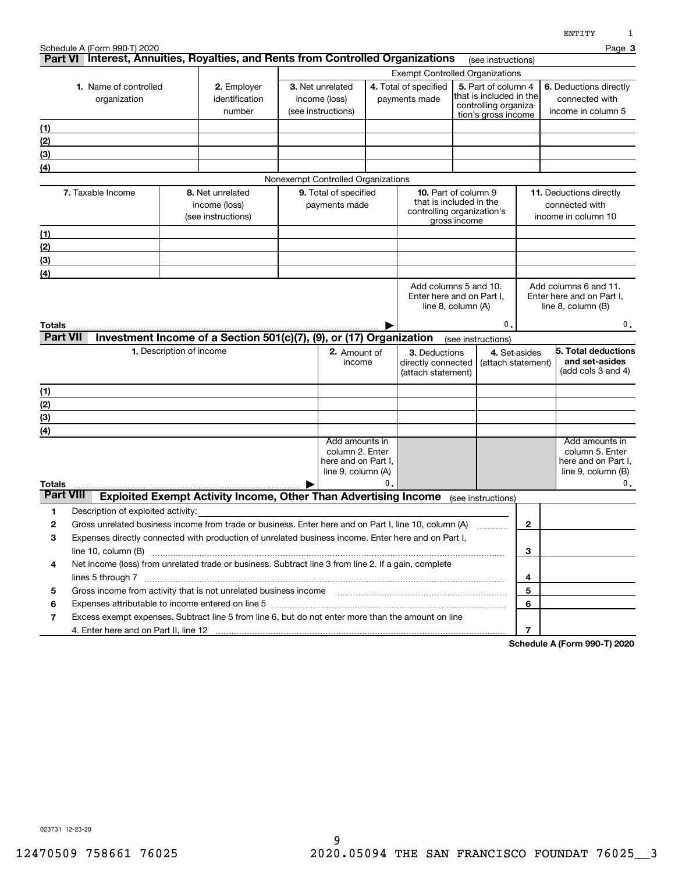|                           | Schedule A (Form 990-T) 2020                                                                                                                                                                                                                          |                                                                                                                     |  |                                                                                     |    |                                        |                                                 |                |                                                      | Page 3        |
|---------------------------|-------------------------------------------------------------------------------------------------------------------------------------------------------------------------------------------------------------------------------------------------------|---------------------------------------------------------------------------------------------------------------------|--|-------------------------------------------------------------------------------------|----|----------------------------------------|-------------------------------------------------|----------------|------------------------------------------------------|---------------|
|                           |                                                                                                                                                                                                                                                       | Part VI Interest, Annuities, Royalties, and Rents from Controlled Organizations                                     |  |                                                                                     |    |                                        | (see instructions)                              |                |                                                      |               |
|                           |                                                                                                                                                                                                                                                       |                                                                                                                     |  |                                                                                     |    | <b>Exempt Controlled Organizations</b> |                                                 |                |                                                      |               |
|                           | 1. Name of controlled                                                                                                                                                                                                                                 | 2. Employer                                                                                                         |  | 3. Net unrelated                                                                    |    | 4. Total of specified                  | 5. Part of column 4<br>that is included in the  |                | <b>6.</b> Deductions directly                        |               |
|                           | organization                                                                                                                                                                                                                                          | identification                                                                                                      |  | income (loss)                                                                       |    | payments made                          | controlling organiza-                           |                | connected with                                       |               |
|                           |                                                                                                                                                                                                                                                       | number                                                                                                              |  | (see instructions)                                                                  |    |                                        | tion's gross income                             |                | income in column 5                                   |               |
| (1)                       |                                                                                                                                                                                                                                                       |                                                                                                                     |  |                                                                                     |    |                                        |                                                 |                |                                                      |               |
| (2)                       |                                                                                                                                                                                                                                                       |                                                                                                                     |  |                                                                                     |    |                                        |                                                 |                |                                                      |               |
| (3)                       |                                                                                                                                                                                                                                                       |                                                                                                                     |  |                                                                                     |    |                                        |                                                 |                |                                                      |               |
| (4)                       |                                                                                                                                                                                                                                                       |                                                                                                                     |  | Nonexempt Controlled Organizations                                                  |    |                                        |                                                 |                |                                                      |               |
|                           | 7. Taxable Income                                                                                                                                                                                                                                     | 8. Net unrelated                                                                                                    |  | <b>9.</b> Total of specified                                                        |    |                                        | <b>10.</b> Part of column 9                     |                | <b>11.</b> Deductions directly                       |               |
|                           |                                                                                                                                                                                                                                                       | income (loss)                                                                                                       |  | payments made                                                                       |    |                                        | that is included in the                         |                | connected with                                       |               |
|                           |                                                                                                                                                                                                                                                       | (see instructions)                                                                                                  |  |                                                                                     |    |                                        | controlling organization's<br>gross income      |                | income in column 10                                  |               |
| (1)                       |                                                                                                                                                                                                                                                       |                                                                                                                     |  |                                                                                     |    |                                        |                                                 |                |                                                      |               |
| (2)                       |                                                                                                                                                                                                                                                       |                                                                                                                     |  |                                                                                     |    |                                        |                                                 |                |                                                      |               |
| (3)                       |                                                                                                                                                                                                                                                       |                                                                                                                     |  |                                                                                     |    |                                        |                                                 |                |                                                      |               |
| (4)                       |                                                                                                                                                                                                                                                       |                                                                                                                     |  |                                                                                     |    |                                        |                                                 |                |                                                      |               |
|                           |                                                                                                                                                                                                                                                       |                                                                                                                     |  |                                                                                     |    |                                        | Add columns 5 and 10.                           |                | Add columns 6 and 11.                                |               |
|                           |                                                                                                                                                                                                                                                       |                                                                                                                     |  |                                                                                     |    |                                        | Enter here and on Part I,<br>line 8, column (A) |                | Enter here and on Part I,<br>line $8$ , column $(B)$ |               |
|                           |                                                                                                                                                                                                                                                       |                                                                                                                     |  |                                                                                     |    |                                        |                                                 |                |                                                      |               |
| Totals<br><b>Part VII</b> |                                                                                                                                                                                                                                                       |                                                                                                                     |  |                                                                                     |    |                                        | 0                                               |                |                                                      | 0.            |
|                           |                                                                                                                                                                                                                                                       | Investment Income of a Section 501(c)(7), (9), or (17) Organization                                                 |  |                                                                                     |    |                                        | (see instructions)                              |                | 5. Total deductions                                  |               |
|                           |                                                                                                                                                                                                                                                       | 1. Description of income                                                                                            |  | 2. Amount of<br>3. Deductions<br>income<br>directly connected<br>(attach statement) |    | 4. Set-asides                          | and set-asides                                  |                |                                                      |               |
|                           |                                                                                                                                                                                                                                                       |                                                                                                                     |  |                                                                                     |    | (attach statement)                     |                                                 |                | (add cols 3 and 4)                                   |               |
| (1)                       |                                                                                                                                                                                                                                                       |                                                                                                                     |  |                                                                                     |    |                                        |                                                 |                |                                                      |               |
| (2)                       |                                                                                                                                                                                                                                                       |                                                                                                                     |  |                                                                                     |    |                                        |                                                 |                |                                                      |               |
| (3)                       |                                                                                                                                                                                                                                                       |                                                                                                                     |  |                                                                                     |    |                                        |                                                 |                |                                                      |               |
| (4)                       |                                                                                                                                                                                                                                                       |                                                                                                                     |  |                                                                                     |    |                                        |                                                 |                |                                                      |               |
|                           |                                                                                                                                                                                                                                                       |                                                                                                                     |  | Add amounts in                                                                      |    |                                        |                                                 |                | Add amounts in                                       |               |
|                           |                                                                                                                                                                                                                                                       |                                                                                                                     |  | column 2. Enter<br>here and on Part I,                                              |    |                                        |                                                 |                | column 5. Enter<br>here and on Part I.               |               |
|                           |                                                                                                                                                                                                                                                       |                                                                                                                     |  | line 9, column (A)                                                                  |    |                                        |                                                 |                | line $9$ , column $(B)$                              |               |
| <b>Totals</b>             |                                                                                                                                                                                                                                                       |                                                                                                                     |  |                                                                                     | 0. |                                        |                                                 |                |                                                      | $\mathbf 0$ . |
| <b>Part VIII</b>          |                                                                                                                                                                                                                                                       | <b>Exploited Exempt Activity Income, Other Than Advertising Income</b>                                              |  |                                                                                     |    |                                        | (see instructions)                              |                |                                                      |               |
| 1                         | Description of exploited activity:                                                                                                                                                                                                                    |                                                                                                                     |  |                                                                                     |    |                                        |                                                 |                |                                                      |               |
| 2                         |                                                                                                                                                                                                                                                       | Gross unrelated business income from trade or business. Enter here and on Part I, line 10, column (A)               |  |                                                                                     |    |                                        |                                                 | $\mathbf{2}$   |                                                      |               |
| 3                         |                                                                                                                                                                                                                                                       | Expenses directly connected with production of unrelated business income. Enter here and on Part I,                 |  |                                                                                     |    |                                        |                                                 |                |                                                      |               |
| 4                         | line 10, column (B)                                                                                                                                                                                                                                   |                                                                                                                     |  |                                                                                     |    |                                        |                                                 | 3              |                                                      |               |
|                           | Net income (loss) from unrelated trade or business. Subtract line 3 from line 2. If a gain, complete                                                                                                                                                  |                                                                                                                     |  |                                                                                     |    |                                        |                                                 | 4              |                                                      |               |
| 5                         | Gross income from activity that is not unrelated business income [11] [11] content material content from activity that is not unrelated business income [11] [11] [11] $\alpha$ [11] $\alpha$ [11] $\alpha$ [11] $\alpha$ [11] $\alpha$ [11] $\alpha$ |                                                                                                                     |  |                                                                                     |    |                                        | 5                                               |                |                                                      |               |
| 6                         |                                                                                                                                                                                                                                                       | Expenses attributable to income entered on line 5 [[11] manufacture income contract at the income entered on line 5 |  |                                                                                     |    |                                        |                                                 | 6              |                                                      |               |
| 7                         |                                                                                                                                                                                                                                                       | Excess exempt expenses. Subtract line 5 from line 6, but do not enter more than the amount on line                  |  |                                                                                     |    |                                        |                                                 |                |                                                      |               |
|                           |                                                                                                                                                                                                                                                       |                                                                                                                     |  |                                                                                     |    |                                        |                                                 | $\overline{7}$ |                                                      |               |
|                           |                                                                                                                                                                                                                                                       |                                                                                                                     |  |                                                                                     |    |                                        |                                                 |                | Cahadula A (Farm 000 T) 2020                         |               |

**Schedule A (Form 990-T) 2020**

023731 12-23-20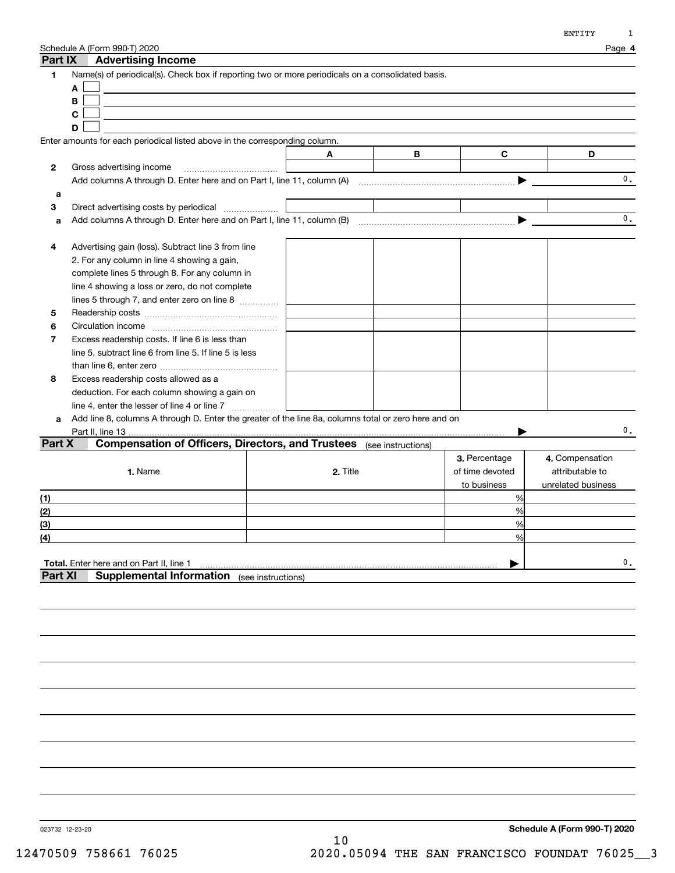| Part IX                    | Schedule A (Form 990-T) 2020<br><b>Advertising Income</b>                                                                                                                                                                                           |          |                    |                                                 | Page 4                                                   |
|----------------------------|-----------------------------------------------------------------------------------------------------------------------------------------------------------------------------------------------------------------------------------------------------|----------|--------------------|-------------------------------------------------|----------------------------------------------------------|
| 1                          | Name(s) of periodical(s). Check box if reporting two or more periodicals on a consolidated basis.<br>A<br>B<br>C<br>D                                                                                                                               |          |                    |                                                 |                                                          |
|                            | Enter amounts for each periodical listed above in the corresponding column.                                                                                                                                                                         |          |                    |                                                 |                                                          |
|                            |                                                                                                                                                                                                                                                     | Α        | В                  | C                                               | D                                                        |
| 2                          | Gross advertising income                                                                                                                                                                                                                            |          |                    |                                                 |                                                          |
|                            |                                                                                                                                                                                                                                                     |          |                    |                                                 | 0.                                                       |
| a                          |                                                                                                                                                                                                                                                     |          |                    |                                                 |                                                          |
| 3                          | Direct advertising costs by periodical                                                                                                                                                                                                              |          |                    |                                                 |                                                          |
| a                          |                                                                                                                                                                                                                                                     |          |                    |                                                 | $\mathbf{0}$ .                                           |
| 4<br>5<br>6                | Advertising gain (loss). Subtract line 3 from line<br>2. For any column in line 4 showing a gain,<br>complete lines 5 through 8. For any column in<br>line 4 showing a loss or zero, do not complete<br>lines 5 through 7, and enter zero on line 8 |          |                    |                                                 |                                                          |
| 7                          | Excess readership costs. If line 6 is less than<br>line 5, subtract line 6 from line 5. If line 5 is less                                                                                                                                           |          |                    |                                                 |                                                          |
| 8                          | Excess readership costs allowed as a<br>deduction. For each column showing a gain on<br>line 4, enter the lesser of line 4 or line 7                                                                                                                |          |                    |                                                 |                                                          |
| a                          | Add line 8, columns A through D. Enter the greater of the line 8a, columns total or zero here and on                                                                                                                                                |          |                    |                                                 |                                                          |
|                            | Part II, line 13                                                                                                                                                                                                                                    |          |                    | .                                               | $\mathbf{0}$ .                                           |
| Part X                     | <b>Compensation of Officers, Directors, and Trustees</b><br>1. Name                                                                                                                                                                                 | 2. Title | (see instructions) | 3. Percentage<br>of time devoted<br>to business | 4. Compensation<br>attributable to<br>unrelated business |
| (1)                        |                                                                                                                                                                                                                                                     |          |                    | %                                               |                                                          |
| (2)                        |                                                                                                                                                                                                                                                     |          |                    | %                                               |                                                          |
| (3)                        |                                                                                                                                                                                                                                                     |          |                    | %                                               |                                                          |
| $\underline{\textbf{(4)}}$ |                                                                                                                                                                                                                                                     |          |                    | %                                               |                                                          |
| Part XI                    | Total. Enter here and on Part II, line 1<br><b>Supplemental Information</b> (see instructions)                                                                                                                                                      |          |                    |                                                 | $\mathbf{0}$ .                                           |
|                            |                                                                                                                                                                                                                                                     |          |                    |                                                 |                                                          |

023732 12-23-20

**Schedule A (Form 990-T) 2020**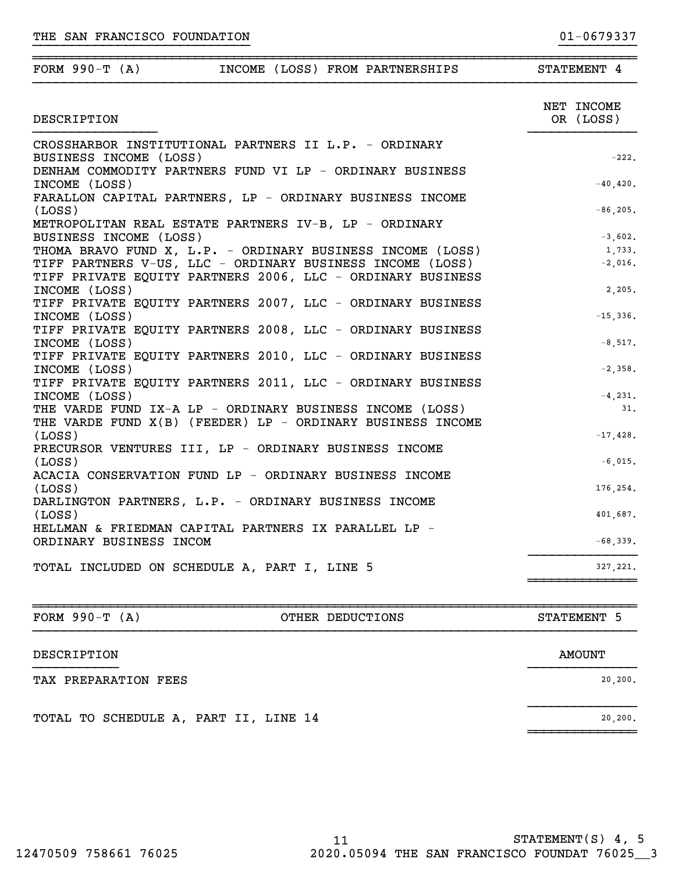| DESCRIPTION                                                                     | OR (LOSS)   |
|---------------------------------------------------------------------------------|-------------|
| CROSSHARBOR INSTITUTIONAL PARTNERS II L.P. - ORDINARY<br>BUSINESS INCOME (LOSS) | $-222.$     |
| DENHAM COMMODITY PARTNERS FUND VI LP - ORDINARY BUSINESS                        |             |
| INCOME (LOSS)                                                                   | $-40, 420.$ |
| FARALLON CAPITAL PARTNERS, LP - ORDINARY BUSINESS INCOME                        |             |
| (LOSS)                                                                          | $-86, 205.$ |
| METROPOLITAN REAL ESTATE PARTNERS IV-B, LP - ORDINARY                           |             |
| BUSINESS INCOME (LOSS)                                                          | $-3,602.$   |
| THOMA BRAVO FUND X, L.P. - ORDINARY BUSINESS INCOME (LOSS)                      | 1,733.      |
| TIFF PARTNERS V-US, LLC - ORDINARY BUSINESS INCOME (LOSS)                       | $-2,016.$   |
| TIFF PRIVATE EQUITY PARTNERS 2006, LLC - ORDINARY BUSINESS                      |             |
| INCOME (LOSS)                                                                   | 2,205.      |
| TIFF PRIVATE EQUITY PARTNERS 2007, LLC - ORDINARY BUSINESS                      |             |
| INCOME (LOSS)                                                                   | $-15,336.$  |
| TIFF PRIVATE EQUITY PARTNERS 2008, LLC - ORDINARY BUSINESS                      |             |
| INCOME (LOSS)                                                                   | $-8,517.$   |
| TIFF PRIVATE EQUITY PARTNERS 2010, LLC - ORDINARY BUSINESS                      |             |
| INCOME (LOSS)                                                                   | $-2,358.$   |
| TIFF PRIVATE EQUITY PARTNERS 2011, LLC - ORDINARY BUSINESS                      |             |
| INCOME (LOSS)                                                                   | $-4, 231.$  |
| THE VARDE FUND IX-A LP - ORDINARY BUSINESS INCOME (LOSS)                        | 31.         |
|                                                                                 |             |

}}}}}}}}}}}}}}}}}}}}}}}}}}}} }}}}}}}}}}

~~~~~~~~~~~~~~~~~~~~~~~~~~~~~~~~~~~~~~~~~~~~~~~~~~~~~~~~~~~~~~~~~~~~~~~~~~~~~~FORM 990-T (A) **INCOME** (LOSS) FROM PARTNERSHIPS STATEMENT 4

| <u>IIID VARDD FOND IA A DE   ORDINARI DOOINDOO INCOMB (DOOD)</u> |             |
|------------------------------------------------------------------|-------------|
| THE VARDE FUND X(B) (FEEDER) LP - ORDINARY BUSINESS INCOME       |             |
| (LOSS)                                                           | $-17,428$ . |
| PRECURSOR VENTURES III, LP - ORDINARY BUSINESS INCOME            |             |
| (LOSS)                                                           | $-6.015.$   |
| ACACIA CONSERVATION FUND LP - ORDINARY BUSINESS INCOME           |             |
| (LOSS)                                                           | 176.254.    |
| DARLINGTON PARTNERS, L.P. - ORDINARY BUSINESS INCOME             |             |
| (LOSS)                                                           | 401.687.    |
| HELLMAN & FRIEDMAN CAPITAL PARTNERS IX PARALLEL LP -             |             |
| ORDINARY BUSINESS INCOM                                          | $-68,339.$  |
|                                                                  |             |
|                                                                  |             |

TOTAL INCLUDED ON SCHEDULE A, PART I, LINE 5 327,221.

~~~~~~~~~~~~~~~~~~~~~~~~~~~~~~~~~~~~~~~~~~~~~~~~~~~~~~~~~~~~~~~~~~~~~~~~~~~~~~FORM 990-T (A) **OTHER DEDUCTIONS** STATEMENT 5

}}}}}}}}}}} }}}}}}}}}}}}}}

}}}}}}}}}}}}}}

~~~~~~~~~~~~~~

~~~~~~~~~~~~~~

# DESCRIPTION AMOUNT

## TAX PREPARATION FEES 20,200.

TOTAL TO SCHEDULE A, PART II, LINE 14 20,200.

NET INCOME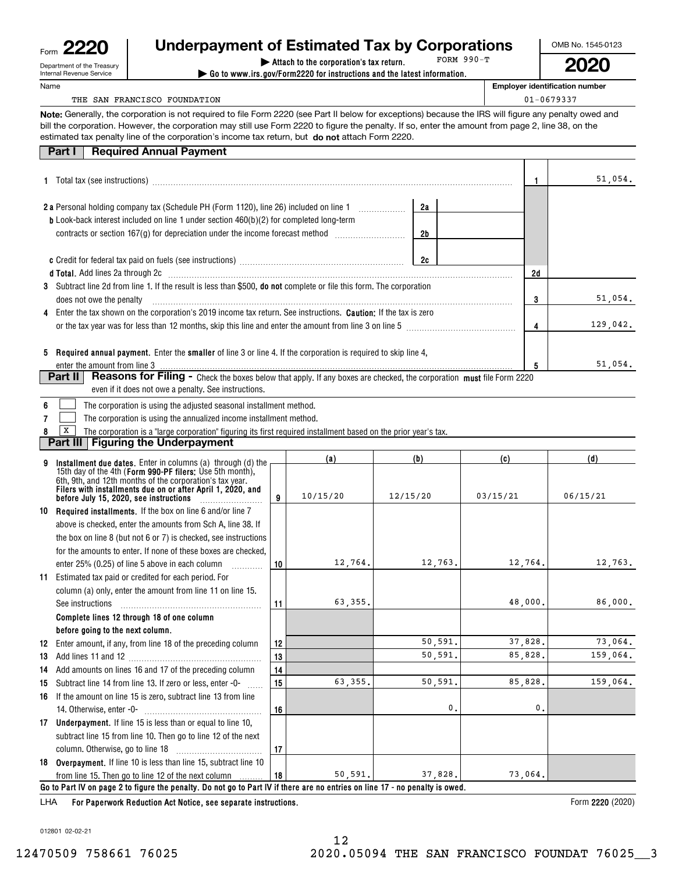| Form | n<br>מ<br>n<br><b>C</b>    |
|------|----------------------------|
|      | Department of the Treasury |
|      | Internal Revenue Service   |

## **| Attach to the corporation's tax return. Underpayment of Estimated Tax by Corporations**

**| Go to www.irs.gov/Form2220 for instructions and the latest information.** FORM 990-T OMB No. 1545-0123

**2020**

**Employer identification number**

THE SAN FRANCISCO FOUNDATION CONSIDERED ASSESSED. THE SAN FRANCISCO FOUNDATION

**Note:** Generally, the corporation is not required to file Form 2220 (see Part II below for exceptions) because the IRS will figure any penalty owed and estimated tax penalty line of the corporation's income tax return, but **do not** attach Form 2220. bill the corporation. However, the corporation may still use Form 2220 to figure the penalty. If so, enter the amount from page 2, line 38, on the

| <b>Part I</b> Required Annual Payment |
|---------------------------------------|
|                                       |

|                                                                                                                                                         |    | 51,054.  |
|---------------------------------------------------------------------------------------------------------------------------------------------------------|----|----------|
| 2a<br><b>2a</b> Personal holding company tax (Schedule PH (Form 1120), line 26) included on line 1                                                      |    |          |
| <b>b</b> Look-back interest included on line 1 under section $460(b)(2)$ for completed long-term<br>2b                                                  |    |          |
| 2c                                                                                                                                                      |    |          |
|                                                                                                                                                         | 2d |          |
| 3 Subtract line 2d from line 1. If the result is less than \$500, <b>do not</b> complete or file this form. The corporation<br>does not owe the penalty |    | 51,054.  |
| 4 Enter the tax shown on the corporation's 2019 income tax return. See instructions. <b>Caution:</b> If the tax is zero                                 |    |          |
| or the tax year was for less than 12 months, skip this line and enter the amount from line 3 on line 5                                                  |    | 129,042. |
| 5 Required annual payment. Enter the smaller of line 3 or line 4. If the corporation is required to skip line 4,                                        |    | 51,054.  |
| Reasons for Filing - Check the boxes below that apply. If any boxes are checked, the corporation must file Form 2220<br><b>Part II</b>                  |    |          |

| even if it does not owe a penalty. See instructions. |  |
|------------------------------------------------------|--|
|                                                      |  |

|  |  | 6 The corporation is using the adjusted seasonal installment method. |
|--|--|----------------------------------------------------------------------|
|--|--|----------------------------------------------------------------------|

**7**The corporation is using the annualized income installment method.  $\mathcal{L}^{\text{max}}$ 

**8**The corporation is a "large corporation" figuring its first required installment based on the prior year's tax.  $\boxed{\mathbf{X}}$ 

**Part III** | Figuring the Underpayment

|    |                                                                                                                                                                                                                                                    |    | (a)      | (b)      | (c)      | (d)      |  |  |  |
|----|----------------------------------------------------------------------------------------------------------------------------------------------------------------------------------------------------------------------------------------------------|----|----------|----------|----------|----------|--|--|--|
|    | Installment due dates. Enter in columns (a) through (d) the<br>15th day of the 4th (Form 990-PF filers: Use 5th month),<br>6th, 9th, and 12th months of the corporation's tax year.<br>Filers with installments due on or after April 1, 2020, and | 9  | 10/15/20 | 12/15/20 | 03/15/21 | 06/15/21 |  |  |  |
|    | 10 Required installments. If the box on line 6 and/or line 7                                                                                                                                                                                       |    |          |          |          |          |  |  |  |
|    | above is checked, enter the amounts from Sch A, line 38. If                                                                                                                                                                                        |    |          |          |          |          |  |  |  |
|    | the box on line 8 (but not 6 or 7) is checked, see instructions                                                                                                                                                                                    |    |          |          |          |          |  |  |  |
|    | for the amounts to enter. If none of these boxes are checked.                                                                                                                                                                                      |    |          |          |          |          |  |  |  |
|    | enter 25% (0.25) of line 5 above in each column                                                                                                                                                                                                    | 10 | 12,764.  | 12,763.  | 12,764.  | 12,763.  |  |  |  |
| 11 | Estimated tax paid or credited for each period. For                                                                                                                                                                                                |    |          |          |          |          |  |  |  |
|    | column (a) only, enter the amount from line 11 on line 15.                                                                                                                                                                                         |    |          |          |          |          |  |  |  |
|    | See instructions                                                                                                                                                                                                                                   | 11 | 63,355.  |          | 48,000.  | 86,000.  |  |  |  |
|    | Complete lines 12 through 18 of one column                                                                                                                                                                                                         |    |          |          |          |          |  |  |  |
|    | before going to the next column.                                                                                                                                                                                                                   |    |          |          |          |          |  |  |  |
| 12 | Enter amount, if any, from line 18 of the preceding column                                                                                                                                                                                         | 12 |          | 50, 591. | 37,828.  | 73,064.  |  |  |  |
| 13 |                                                                                                                                                                                                                                                    | 13 |          | 50.591.  | 85.828.  | 159,064. |  |  |  |
| 14 | Add amounts on lines 16 and 17 of the preceding column                                                                                                                                                                                             | 14 |          |          |          |          |  |  |  |
| 15 | Subtract line 14 from line 13. If zero or less, enter -0-                                                                                                                                                                                          | 15 | 63,355.  | 50,591.  | 85,828.  | 159,064. |  |  |  |
|    | 16 If the amount on line 15 is zero, subtract line 13 from line                                                                                                                                                                                    |    |          |          |          |          |  |  |  |
|    |                                                                                                                                                                                                                                                    | 16 |          | 0.       | 0.       |          |  |  |  |
|    | 17 Underpayment. If line 15 is less than or equal to line 10,                                                                                                                                                                                      |    |          |          |          |          |  |  |  |
|    | subtract line 15 from line 10. Then go to line 12 of the next                                                                                                                                                                                      |    |          |          |          |          |  |  |  |
|    |                                                                                                                                                                                                                                                    | 17 |          |          |          |          |  |  |  |
|    | 18 Overpayment. If line 10 is less than line 15, subtract line 10                                                                                                                                                                                  |    |          |          |          |          |  |  |  |
|    | from line 15. Then go to line 12 of the next column                                                                                                                                                                                                | 18 | 50, 591. | 37,828.  | 73,064.  |          |  |  |  |
|    | Go to Part IV on page 2 to figure the penalty. Do not go to Part IV if there are no entries on line 17 - no penalty is owed.                                                                                                                       |    |          |          |          |          |  |  |  |
|    | 1.11A  Pau Bangaroval, Badrostan Ast Nation and accounts included<br>$F_{\text{max}}$ 0000 $(0.00)$                                                                                                                                                |    |          |          |          |          |  |  |  |

**For Paperwork Reduction Act Notice, see separate instructions.** LHA

Form 2220 (2020)

012801 02-02-21